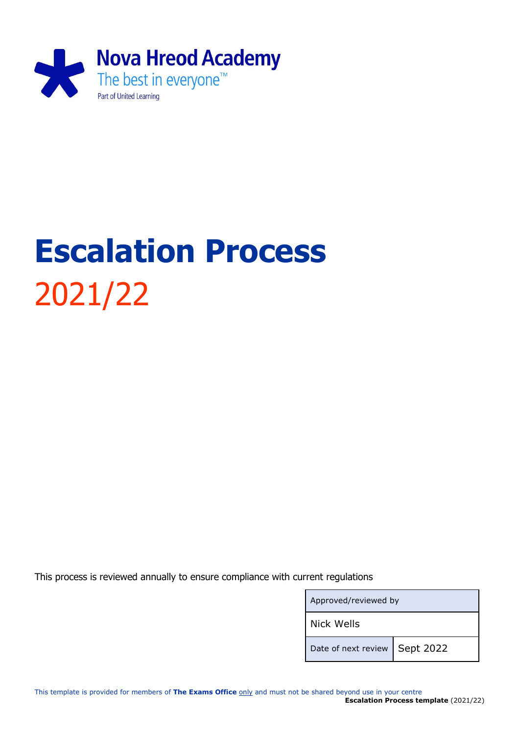

# **Escalation Process** 2021/22

This process is reviewed annually to ensure compliance with current regulations

| Approved/reviewed by |           |
|----------------------|-----------|
| <b>Nick Wells</b>    |           |
| Date of next review  | Sept 2022 |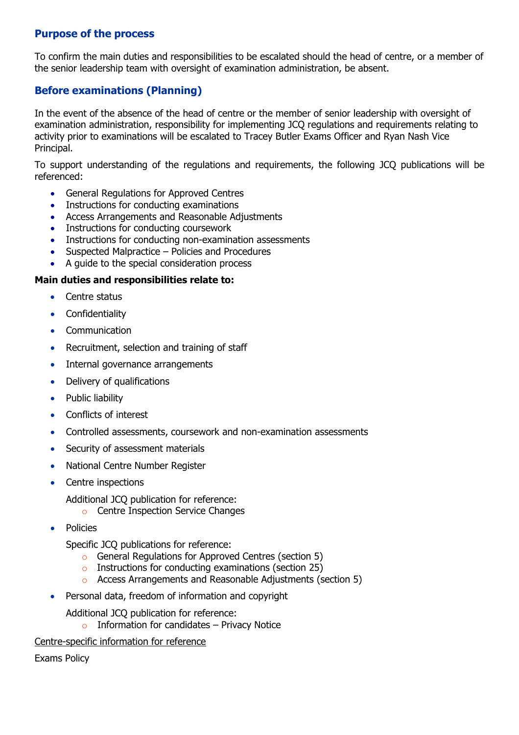## **Purpose of the process**

To confirm the main duties and responsibilities to be escalated should the head of centre, or a member of the senior leadership team with oversight of examination administration, be absent.

## **Before examinations (Planning)**

In the event of the absence of the head of centre or the member of senior leadership with oversight of examination administration, responsibility for implementing JCQ regulations and requirements relating to activity prior to examinations will be escalated to Tracey Butler Exams Officer and Ryan Nash Vice Principal.

To support understanding of the regulations and requirements, the following JCQ publications will be referenced:

- General Regulations for Approved Centres
- Instructions for conducting examinations
- Access Arrangements and Reasonable Adjustments
- Instructions for conducting coursework
- Instructions for conducting non-examination assessments
- Suspected Malpractice Policies and Procedures
- A guide to the special consideration process

#### **Main duties and responsibilities relate to:**

- Centre status
- Confidentiality
- Communication
- Recruitment, selection and training of staff
- Internal governance arrangements
- Delivery of qualifications
- Public liability
- Conflicts of interest
- Controlled assessments, coursework and non-examination assessments
- Security of assessment materials
- National Centre Number Register
- Centre inspections
	- Additional JCQ publication for reference:
		- o Centre Inspection Service Changes
- Policies

Specific JCQ publications for reference:

- o General Regulations for Approved Centres (section 5)
- o Instructions for conducting examinations (section 25)
- o Access Arrangements and Reasonable Adjustments (section 5)
- Personal data, freedom of information and copyright
	- Additional JCQ publication for reference:
		- Information for candidates  $-$  Privacy Notice
- Centre-specific information for reference

Exams Policy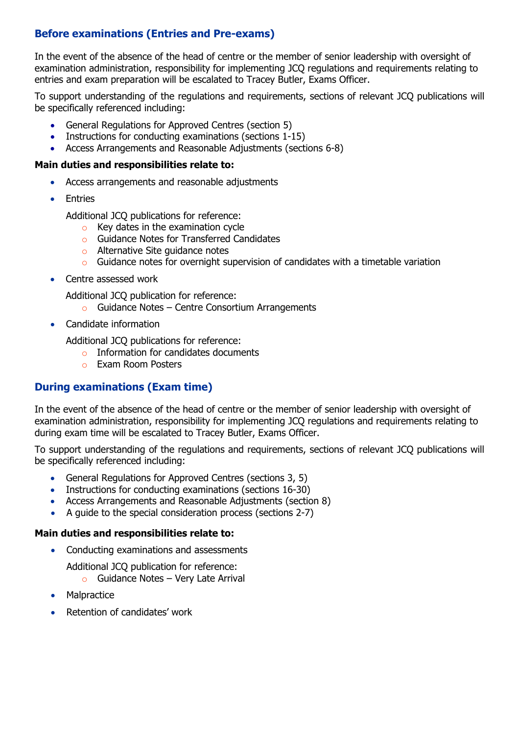# **Before examinations (Entries and Pre-exams)**

In the event of the absence of the head of centre or the member of senior leadership with oversight of examination administration, responsibility for implementing JCQ regulations and requirements relating to entries and exam preparation will be escalated to Tracey Butler, Exams Officer.

To support understanding of the regulations and requirements, sections of relevant JCQ publications will be specifically referenced including:

- General Regulations for Approved Centres (section 5)
- Instructions for conducting examinations (sections 1-15)
- Access Arrangements and Reasonable Adjustments (sections 6-8)

#### **Main duties and responsibilities relate to:**

- Access arrangements and reasonable adjustments
- Entries

Additional JCQ publications for reference:

- $\circ$  Key dates in the examination cycle
- o Guidance Notes for Transferred Candidates
- o Alternative Site guidance notes
- o Guidance notes for overnight supervision of candidates with a timetable variation
- Centre assessed work

Additional JCQ publication for reference:

- $\circ$  Guidance Notes Centre Consortium Arrangements
- Candidate information

Additional JCQ publications for reference:

- o Information for candidates documents
- o Exam Room Posters

### **During examinations (Exam time)**

In the event of the absence of the head of centre or the member of senior leadership with oversight of examination administration, responsibility for implementing JCQ regulations and requirements relating to during exam time will be escalated to Tracey Butler, Exams Officer.

To support understanding of the regulations and requirements, sections of relevant JCQ publications will be specifically referenced including:

- General Regulations for Approved Centres (sections 3, 5)
- Instructions for conducting examinations (sections 16-30)
- Access Arrangements and Reasonable Adjustments (section 8)
- A guide to the special consideration process (sections 2-7)

#### **Main duties and responsibilities relate to:**

- Conducting examinations and assessments
	- Additional JCQ publication for reference:
		- $\circ$  Guidance Notes Very Late Arrival
- Malpractice
- Retention of candidates' work